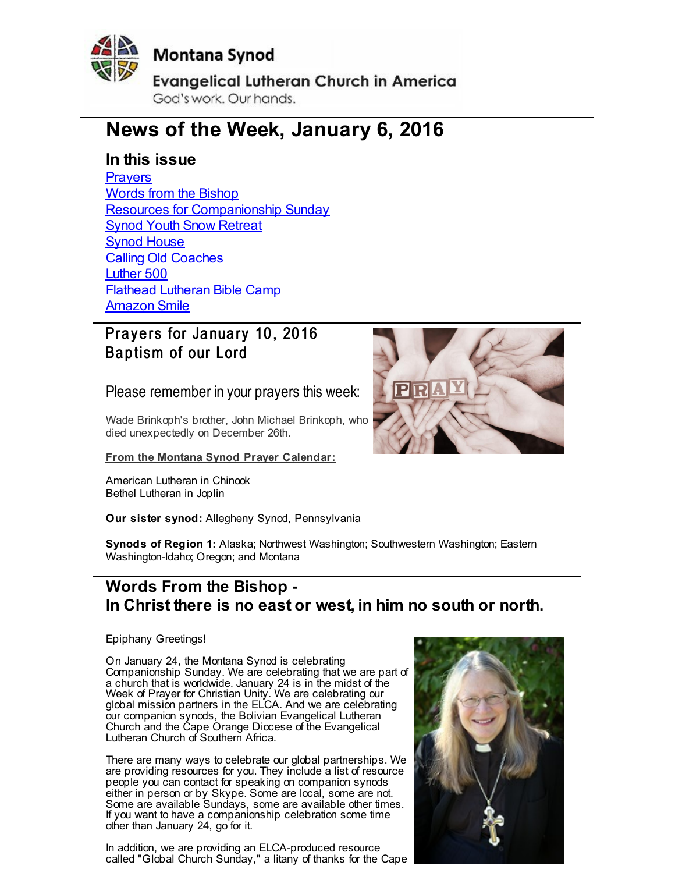<span id="page-0-0"></span>

## **Montana Synod**

**Evangelical Lutheran Church in America** God's work, Our hands.

# **News of the Week, January 6, 2016**

### **In this issue**

**[Prayers](#page-0-0)** Words from the [Bishop](#page-0-0) Resources for [Companionship](#page-0-0) Sunday Synod Youth Snow [Retreat](#page-0-0) **Synod [House](#page-0-0) Calling Old [Coaches](#page-0-0)** [Luther](#page-0-0) 500 Flathead [Lutheran](#page-0-0) Bible Camp [Amazon](#page-0-0) Smile

## Prayers for January 10, 2016 Baptism of our Lord

Please remember in your prayers this week:

Wade Brinkoph's brother, John Michael Brinkoph, who died unexpectedly on December 26th.

**From the Montana Synod Prayer Calendar:**

American Lutheran in Chinook Bethel Lutheran in Joplin

**Our sister synod:** Allegheny Synod, Pennsylvania

**Synods of Region 1:** Alaska; Northwest Washington; Southwestern Washington; Eastern Washington-Idaho; Oregon; and Montana

## **Words From the Bishop - In Christ there is no east or west, in him no south or north.**

Epiphany Greetings!

On January 24, the Montana Synod is celebrating Companionship Sunday. We are celebrating that we are part of a church that is worldwide. January 24 is in the midst of the Week of Prayer for Christian Unity. We are celebrating our global mission partners in the ELCA. And we are celebrating our companion synods, the Bolivian Evangelical Lutheran Church and the Cape Orange Diocese of the Evangelical Lutheran Church of Southern Africa.

There are many ways to celebrate our global partnerships. We are providing resources for you. They include a list of resource people you can contact for speaking on companion synods either in person or by Skype. Some are local, some are not. Some are available Sundays, some are available other times. If you want to have a companionship celebration some time other than January 24, go for it.

In addition, we are providing an ELCA-produced resource called "Global Church Sunday," a litany of thanks for the Cape



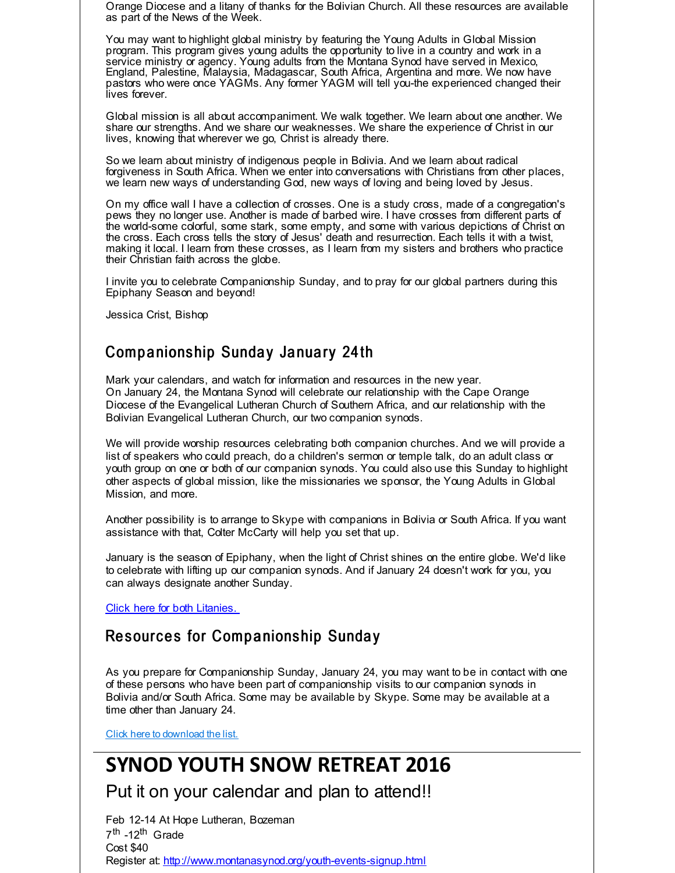Orange Diocese and a litany of thanks for the Bolivian Church. All these resources are available as part of the News of the Week.

You may want to highlight global ministry by featuring the Young Adults in Global Mission program. This program gives young adults the opportunity to live in a country and work in a service ministry or agency. Young adults from the Montana Synod have served in Mexico, England, Palestine, Malaysia, Madagascar, South Africa, Argentina and more. We now have pastors who were once YAGMs. Any former YAGM will tell you-the experienced changed their lives forever.

Global mission is all about accompaniment. We walk together. We learn about one another. We share our strengths. And we share our weaknesses. We share the experience of Christ in our lives, knowing that wherever we go, Christ is already there.

So we learn about ministry of indigenous people in Bolivia. And we learn about radical forgiveness in South Africa. When we enter into conversations with Christians from other places, we learn new ways of understanding God, new ways of loving and being loved by Jesus.

On my office wall I have a collection of crosses. One is a study cross, made of a congregation's pews they no longer use. Another is made of barbed wire. I have crosses from different parts of the world-some colorful, some stark, some empty, and some with various depictions of Christ on the cross. Each cross tells the story of Jesus' death and resurrection. Each tells it with a twist, making it local. I learn from these crosses, as I learn from my sisters and brothers who practice their Christian faith across the globe.

I invite you to celebrate Companionship Sunday, and to pray for our global partners during this Epiphany Season and beyond!

Jessica Crist, Bishop

### Companionship Sunday January 24th

Mark your calendars, and watch for information and resources in the new year. On January 24, the Montana Synod will celebrate our relationship with the Cape Orange Diocese of the Evangelical Lutheran Church of Southern Africa, and our relationship with the Bolivian Evangelical Lutheran Church, our two companion synods.

We will provide worship resources celebrating both companion churches. And we will provide a list of speakers who could preach, do a children's sermon or temple talk, do an adult class or youth group on one or both of our companion synods. You could also use this Sunday to highlight other aspects of global mission, like the missionaries we sponsor, the Young Adults in Global Mission, and more.

Another possibility is to arrange to Skype with companions in Bolivia or South Africa. If you want assistance with that, Colter McCarty will help you set that up.

January is the season of Epiphany, when the light of Christ shines on the entire globe. We'd like to celebrate with lifting up our companion synods. And if January 24 doesn't work for you, you can always designate another Sunday.

Click here for both [Litanies.](http://r20.rs6.net/tn.jsp?f=001hmE2MtRuQ0iUcxoOrkXnldL1aiwHs5aTzRMQWrPDWO3x4zHxV_sI03oPMt9LOB9D2aC0LSnBTKth9T0nAJE0qyk_UkbakIfJudapv_uC_BO_VpIZ-oIcbz12dqHVvxjJw7VJOFm4wo9H7nKb7jjxr_khtsuoW8FT4eDEkIQT04t5XruJUumgHymLF8lB-C1xS3Pz6fqT9RmAeGE4aOSQYxQqSulq5OxP&c=&ch=)

### Resources for Companionship Sunday

As you prepare for Companionship Sunday, January 24, you may want to be in contact with one of these persons who have been part of companionship visits to our companion synods in Bolivia and/or South Africa. Some may be available by Skype. Some may be available at a time other than January 24.

Click here to [download](http://r20.rs6.net/tn.jsp?f=001hmE2MtRuQ0iUcxoOrkXnldL1aiwHs5aTzRMQWrPDWO3x4zHxV_sI041Xt1OVyC3HTSIeyAA3Q8pHT74QUFscVMO_gyhAVZxDriB8PMj6sGrzTd9TpBu1bNxYbZ5R70KUzsV2n5DgPqXhDzC0Vc402cBxpTLr64TgqU7ADrvqxJFBQPhfRw_D5-4JN61Akr8zzEben0YJH9Xp-dL8YA0eE-2beuxLRrrRPFVc0kDAfycFUdNQy-RH4Ddctg-u8vFSVXEmkQWE5e5T9dpFxdF0NbcRw5YAUlXh&c=&ch=) the list.

# **SYNOD YOUTH SNOW RETREAT 2016**

Put it on your calendar and plan to attend!!

Feb 12-14 At Hope Lutheran, Bozeman 7<sup>th</sup> -12<sup>th</sup> Grade Cost \$40 Register at: [http://www.montanasynod.org/youth-events-signup.html](http://r20.rs6.net/tn.jsp?f=001hmE2MtRuQ0iUcxoOrkXnldL1aiwHs5aTzRMQWrPDWO3x4zHxV_sI0woEdjY8oaqJmDZs7Hrogw47Hr6DiGV4EnS456AEJvug-1E6yW-lA4d2lNsmxjAiHfHtzPybAR7VkRiJWOoJVkdq88lIa2aMoM2xCeDliuftSXoWO660Kk_sqt0Ts3Au5-rp_u1N0up1XdymZ6Q-kpt57bxiY8vU_w==&c=&ch=)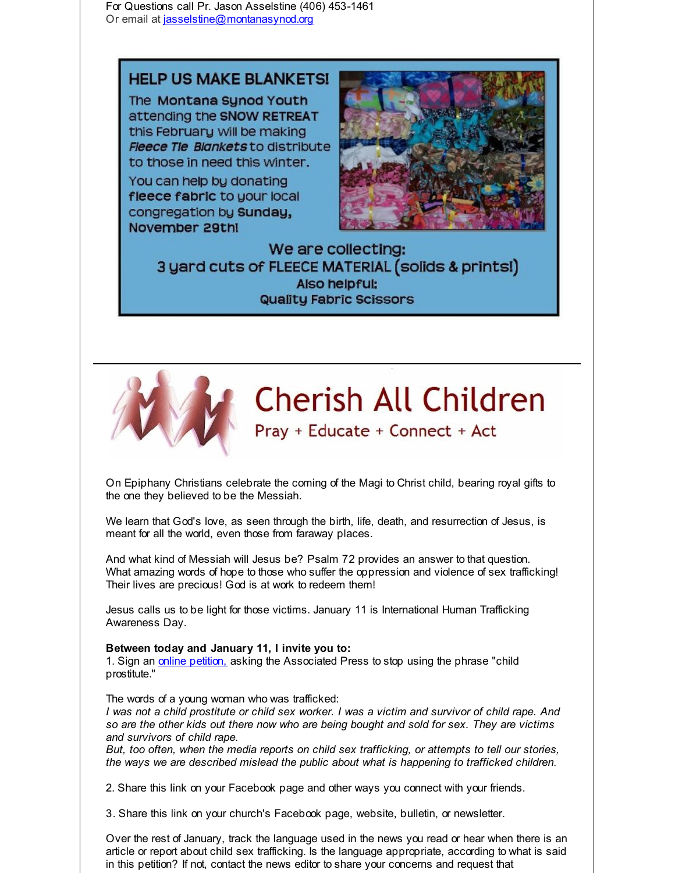For Questions call Pr. Jason Asselstine (406) 453-1461 Or email at [jasselstine@montanasynod.org](mailto:jasselstine@montanasynod.org)

### **HELP US MAKE BLANKETS!**

The Montana Synod Youth attending the SNOW RETREAT this February will be making **Fleece Tie Blankets to distribute** to those in need this winter.

You can help by donating fleece fabric to your local congregation by Sunday, November 29th!



We are collecting: 3 yard cuts of FLEECE MATERIAL (solids & prints!) Also helpful: Quality Fabric Scissors



On Epiphany Christians celebrate the coming of the Magi to Christ child, bearing royal gifts to the one they believed to be the Messiah.

We learn that God's love, as seen through the birth, life, death, and resurrection of Jesus, is meant for all the world, even those from faraway places.

And what kind of Messiah will Jesus be? Psalm 72 provides an answer to that question. What amazing words of hope to those who suffer the oppression and violence of sex trafficking! Their lives are precious! God is at work to redeem them!

Jesus calls us to be light for those victims. January 11 is International Human Trafficking Awareness Day.

#### **Between today and January 11, I invite you to:**

1. Sign an *online petition*, asking the Associated Press to stop using the phrase "child prostitute."

#### The words of a young woman who was trafficked:

I was not a child prostitute or child sex worker. I was a victim and survivor of child rape. And *so are the other kids out there now who are being bought and sold for sex. They are victims and survivors of child rape.*

*But, too often, when the media reports on child sex trafficking, or attempts to tell our stories, the ways we are described mislead the public about what is happening to trafficked children.*

2. Share this link on your Facebook page and other ways you connect with your friends.

3. Share this link on your church's Facebook page, website, bulletin, or newsletter.

Over the rest of January, track the language used in the news you read or hear when there is an article or report about child sex trafficking. Is the language appropriate, according to what is said in this petition? If not, contact the news editor to share your concerns and request that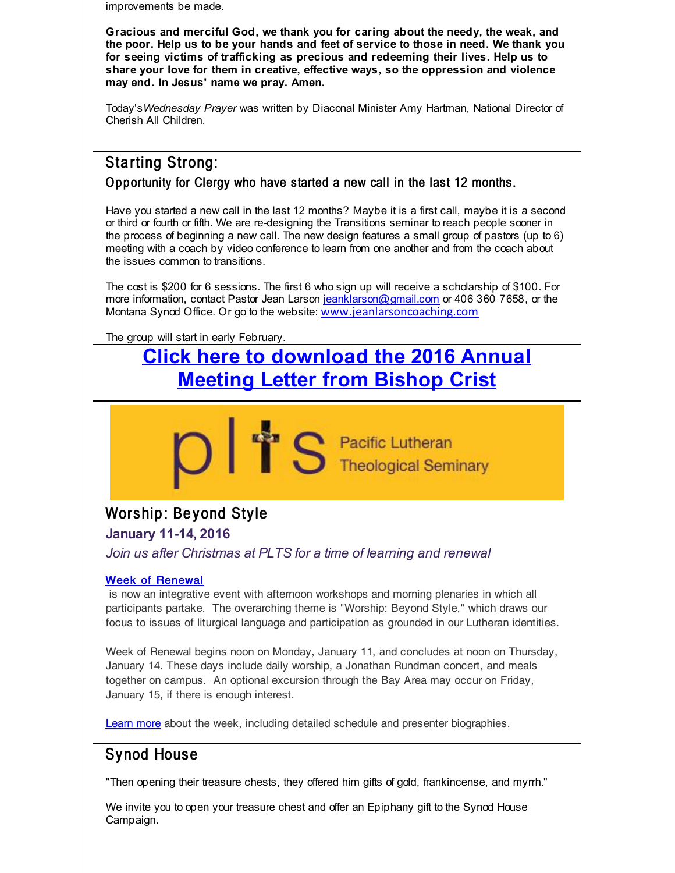improvements be made.

**Gracious and merciful God, we thank you for caring about the needy, the weak, and the poor. Help us to be your hands and feet of service to those in need. We thank you for seeing victims of trafficking as precious and redeeming their lives. Help us to share your love for them in creative, effective ways, so the oppression and violence may end. In Jesus' name we pray. Amen.**

Today's*Wednesday Prayer* was written by Diaconal Minister Amy Hartman, National Director of Cherish All Children.

### Starting Strong:

Opportunity for Clergy who have started a new call in the last 12 months.

Have you started a new call in the last 12 months? Maybe it is a first call, maybe it is a second or third or fourth or fifth. We are re-designing the Transitions seminar to reach people sooner in the process of beginning a new call. The new design features a small group of pastors (up to 6) meeting with a coach by video conference to learn from one another and from the coach about the issues common to transitions.

The cost is \$200 for 6 sessions. The first 6 who sign up will receive a scholarship of \$100. For more information, contact Pastor Jean Larson [jeanklarson@gmail.com](mailto:jeanklarson@gmail.com) or 406 360 7658, or the Montana Synod Office. Or go to the website: [www.jeanlarsoncoaching.com](http://r20.rs6.net/tn.jsp?f=001hmE2MtRuQ0iUcxoOrkXnldL1aiwHs5aTzRMQWrPDWO3x4zHxV_sI03oPMt9LOB9DUlu6BBpsz1fCi3StMqRxHjHaaKylVcJN_y2zhUxGu6owafinY8hAG-UjvWKcRCnyPzt8nAWNMjFfIO-NmkdXpPm8L3_Qh8e9ttEvrCbi_EBNWV6bV49ang==&c=&ch=)

The group will start in early February.

# **Click here to [download](http://r20.rs6.net/tn.jsp?f=001hmE2MtRuQ0iUcxoOrkXnldL1aiwHs5aTzRMQWrPDWO3x4zHxV_sI03oPMt9LOB9DJZI8gDE6zvrMXLtjycuDZqMs-NhJfq6amM4EIsssDvB11cTwfUNgoZtlTfene4br2lM82LXb4ZD4jjMpYsC9n6DUi8eCj11pyTpXi2u28XIRXa8X3kvHB-V2YlqDqj_KVQMdqR-134OGcrWAE1ufyTDRyPtMb50yjRnMZHREDDl179AAiOD1C386l_deY2uhgxIYXjJ3HCY=&c=&ch=) the 2016 Annual Meeting Letter from Bishop Crist**

**S** Pacific Lutheran

# Worship: Beyond Style

**January 11-14, 2016**

*Join us after Christmas at PLTS for a time of learning and renewal*

### Week of [Renewal](http://r20.rs6.net/tn.jsp?f=001hmE2MtRuQ0iUcxoOrkXnldL1aiwHs5aTzRMQWrPDWO3x4zHxV_sI04c9VNAqYqQczDV85JeNAQiJKRmiEure6xaqm65pTchwqMlW0iGq-L-vBu700_toHWWKTNMvQT8rzKoxpXPg43TMXAHYH7WflNT3sTYyWe0pKV1HGTkRatotAr4j7vwUgOOBSzjOKeMt_XQD2cYr8LvSy0-0d0P7w8-1sIEKMOVHIihbDGy-diKF18mwIjOPLCIKY9Gf4hrZPV-mmXpFEWikWyNZq-R1t6DzVVKuqjDvg2LZJM4UOCXBqsMAz0DSgaTBIsDjFNjRGZbuZbxTCEYZYMsVIWa1w4sBFHXHP5ZUL904jF7B_OVBh67fvlDCh86rvO27-G9IdjkPQ1QS-MD0S23g7TrCQg==&c=&ch=)

is now an integrative event with afternoon workshops and morning plenaries in which all participants partake. The overarching theme is "Worship: Beyond Style," which draws our focus to issues of liturgical language and participation as grounded in our Lutheran identities.

Week of Renewal begins noon on Monday, January 11, and concludes at noon on Thursday, January 14. These days include daily worship, a Jonathan Rundman concert, and meals together on campus. An optional excursion through the Bay Area may occur on Friday, January 15, if there is enough interest.

[Learn](http://r20.rs6.net/tn.jsp?f=001hmE2MtRuQ0iUcxoOrkXnldL1aiwHs5aTzRMQWrPDWO3x4zHxV_sI04c9VNAqYqQczDV85JeNAQiJKRmiEure6xaqm65pTchwqMlW0iGq-L-vBu700_toHWWKTNMvQT8rzKoxpXPg43TMXAHYH7WflNT3sTYyWe0pKV1HGTkRatotAr4j7vwUgOOBSzjOKeMt_XQD2cYr8LvSy0-0d0P7w8-1sIEKMOVHIihbDGy-diKF18mwIjOPLCIKY9Gf4hrZPV-mmXpFEWikWyNZq-R1t6DzVVKuqjDvg2LZJM4UOCXBqsMAz0DSgaTBIsDjFNjRGZbuZbxTCEYZYMsVIWa1w4sBFHXHP5ZUL904jF7B_OVBh67fvlDCh86rvO27-G9IdjkPQ1QS-MD0S23g7TrCQg==&c=&ch=) more about the week, including detailed schedule and presenter biographies.

## Synod House

"Then opening their treasure chests, they offered him gifts of gold, frankincense, and myrrh."

We invite you to open your treasure chest and offer an Epiphany gift to the Synod House Campaign.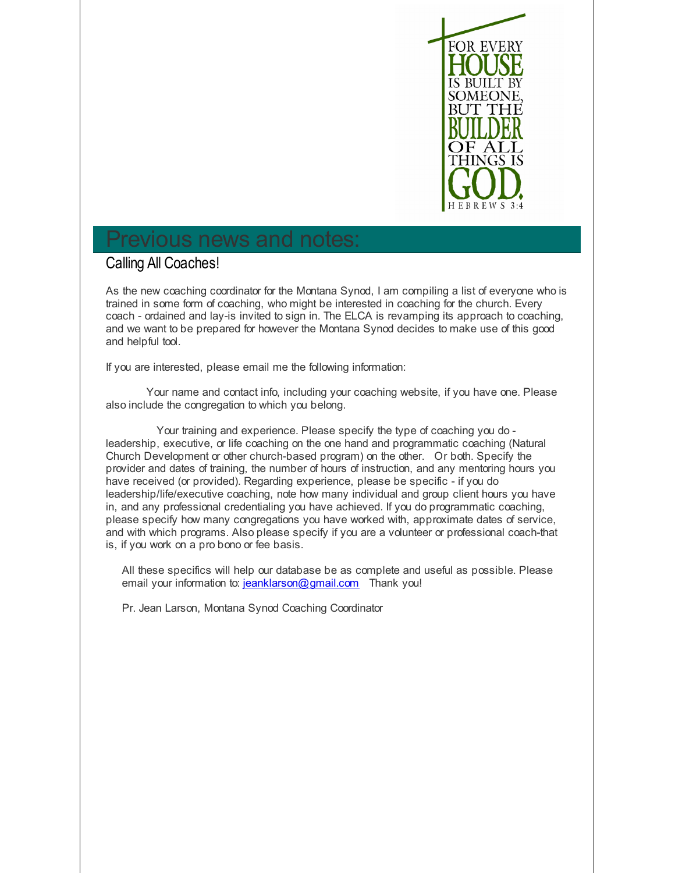

# Previous news and notes:

### Calling All Coaches!

As the new coaching coordinator for the Montana Synod, I am compiling a list of everyone who is trained in some form of coaching, who might be interested in coaching for the church. Every coach - ordained and lay-is invited to sign in. The ELCA is revamping its approach to coaching, and we want to be prepared for however the Montana Synod decides to make use of this good and helpful tool.

If you are interested, please email me the following information:

Your name and contact info, including your coaching website, if you have one. Please also include the congregation to which you belong.

Your training and experience. Please specify the type of coaching you do leadership, executive, or life coaching on the one hand and programmatic coaching (Natural Church Development or other church-based program) on the other. Or both. Specify the provider and dates of training, the number of hours of instruction, and any mentoring hours you have received (or provided). Regarding experience, please be specific - if you do leadership/life/executive coaching, note how many individual and group client hours you have in, and any professional credentialing you have achieved. If you do programmatic coaching, please specify how many congregations you have worked with, approximate dates of service, and with which programs. Also please specify if you are a volunteer or professional coach-that is, if you work on a pro bono or fee basis.

All these specifics will help our database be as complete and useful as possible. Please email your information to: [jeanklarson@gmail.com](mailto:jeanklarson@gmail.com) Thank you!

Pr. Jean Larson, Montana Synod Coaching Coordinator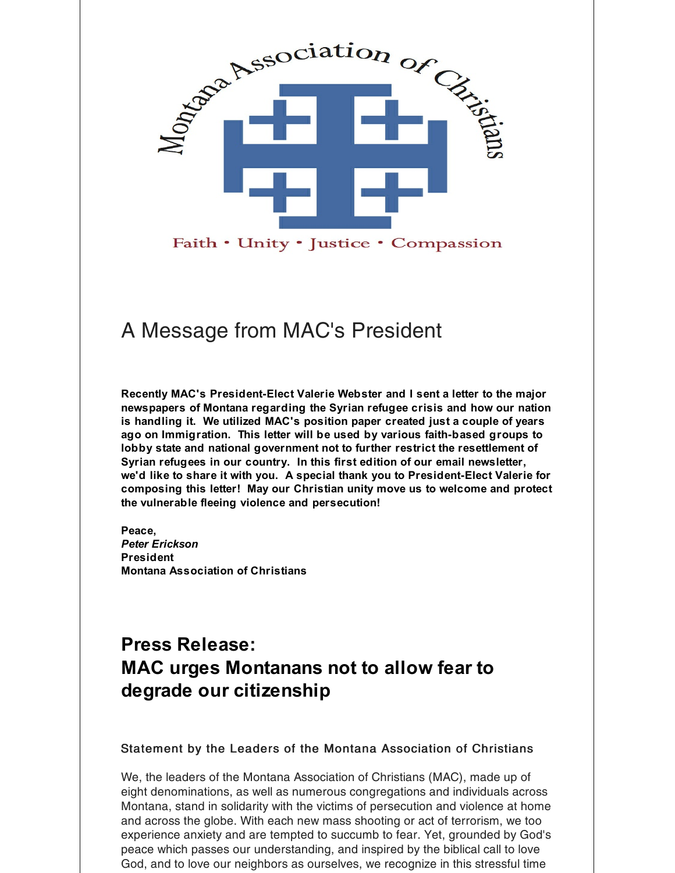

Faith • Unity • Justice • Compassion

# A Message from MAC's President

**Recently MAC's President-Elect Valerie Webster and I sent a letter to the major newspapers of Montana regarding the Syrian refugee crisis and how our nation is handling it. We utilized MAC's position paper created just a couple of years ago on Immigration. This letter will be used by various faith-based groups to lobby state and national government not to further restrict the resettlement of Syrian refugees in our country. In this first edition of our email newsletter, we'd like to share it with you. A special thank you to President-Elect Valerie for composing this letter! May our Christian unity move us to welcome and protect the vulnerable fleeing violence and persecution!**

**Peace,** *Peter Erickson* **President Montana Association of Christians**

# **Press Release: MAC urges Montanans not to allow fear to degrade our citizenship**

### Statement by the Leaders of the Montana Association of Christians

We, the leaders of the Montana Association of Christians (MAC), made up of eight denominations, as well as numerous congregations and individuals across Montana, stand in solidarity with the victims of persecution and violence at home and across the globe. With each new mass shooting or act of terrorism, we too experience anxiety and are tempted to succumb to fear. Yet, grounded by God's peace which passes our understanding, and inspired by the biblical call to love God, and to love our neighbors as ourselves, we recognize in this stressful time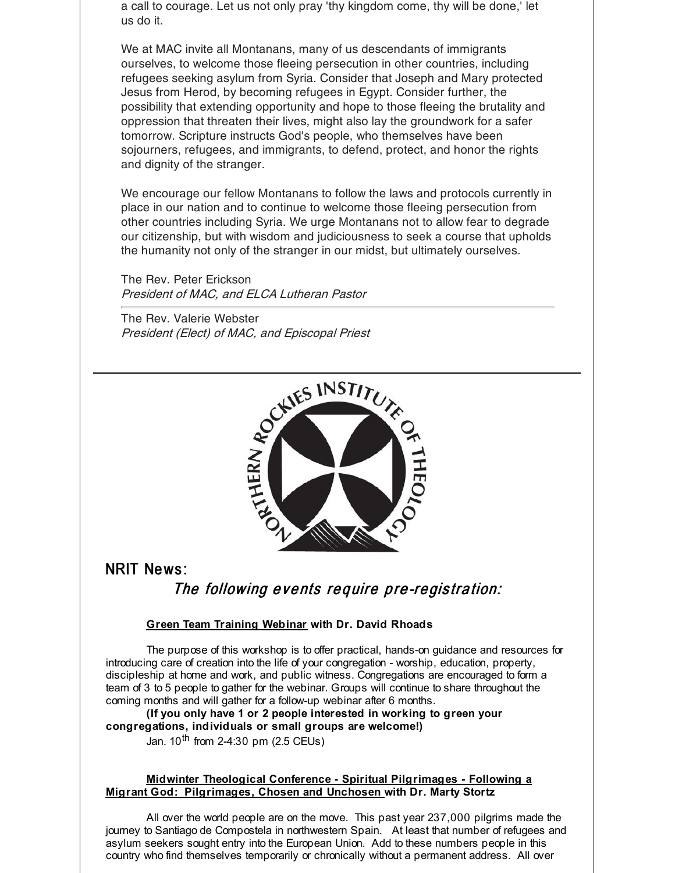a call to courage. Let us not only pray 'thy kingdom come, thy will be done,' let us do it.

We at MAC invite all Montanans, many of us descendants of immigrants ourselves, to welcome those fleeing persecution in other countries, including refugees seeking asylum from Syria. Consider that Joseph and Mary protected Jesus from Herod, by becoming refugees in Egypt. Consider further, the possibility that extending opportunity and hope to those fleeing the brutality and oppression that threaten their lives, might also lay the groundwork for a safer tomorrow. Scripture instructs God's people, who themselves have been sojourners, refugees, and immigrants, to defend, protect, and honor the rights and dignity of the stranger.

We encourage our fellow Montanans to follow the laws and protocols currently in place in our nation and to continue to welcome those fleeing persecution from other countries including Syria. We urge Montanans not to allow fear to degrade our citizenship, but with wisdom and judiciousness to seek a course that upholds the humanity not only of the stranger in our midst, but ultimately ourselves.

The Rev. Peter Erickson President of MAC, and ELCA Lutheran Pastor

The Rev. Valerie Webster President (Elect) of MAC, and Episcopal Priest



NRIT News :

The following events require pre-registration:

#### **Green Team Training Webinar with Dr. David Rhoads**

The purpose of this workshop is to offer practical, hands-on guidance and resources for introducing care of creation into the life of your congregation - worship, education, property, discipleship at home and work, and public witness. Congregations are encouraged to form a team of 3 to 5 people to gather for the webinar. Groups will continue to share throughout the coming months and will gather for a follow-up webinar after 6 months.

**(If you only have 1 or 2 people interested in working to green your congregations, individuals or small groups are welcome!)** Jan. 10<sup>th</sup> from 2-4:30 pm (2.5 CEUs)

#### **Midwinter Theological Conference - Spiritual Pilgrimages - Following a Migrant God: Pilgrimages, Chosen and Unchosen with Dr. Marty Stortz**

All over the world people are on the move. This past year 237,000 pilgrims made the journey to Santiago de Compostela in northwestern Spain. At least that number of refugees and asylum seekers sought entry into the European Union. Add to these numbers people in this country who find themselves temporarily or chronically without a permanent address. All over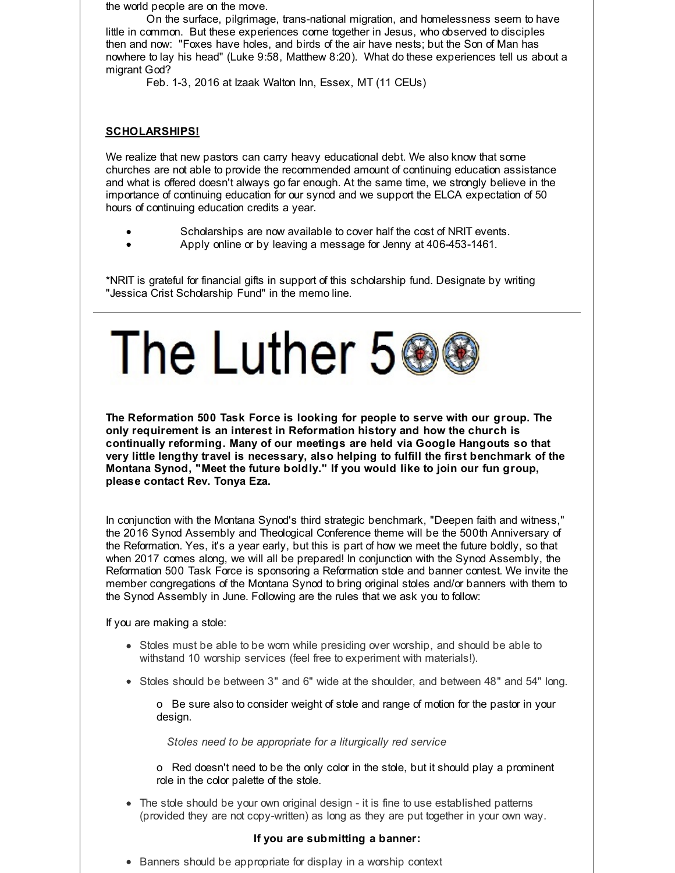the world people are on the move.

On the surface, pilgrimage, trans-national migration, and homelessness seem to have little in common. But these experiences come together in Jesus, who observed to disciples then and now: "Foxes have holes, and birds of the air have nests; but the Son of Man has nowhere to lay his head" (Luke 9:58, Matthew 8:20). What do these experiences tell us about a migrant God?

Feb. 1-3, 2016 at Izaak Walton Inn, Essex, MT (11 CEUs)

#### **SCHOLARSHIPS!**

We realize that new pastors can carry heavy educational debt. We also know that some churches are not able to provide the recommended amount of continuing education assistance and what is offered doesn't always go far enough. At the same time, we strongly believe in the importance of continuing education for our synod and we support the ELCA expectation of 50 hours of continuing education credits a year.

- Scholarships are now available to cover half the cost of NRIT events.
- Apply online or by leaving a message for Jenny at 406-453-1461.

\*NRIT is grateful for financial gifts in support of this scholarship fund. Designate by writing "Jessica Crist Scholarship Fund" in the memo line.



**The Reformation 500 Task Force is looking for people to serve with our group. The only requirement is an interest in Reformation history and how the church is continually reforming. Many of our meetings are held via Google Hangouts so that very little lengthy travel is necessary, also helping to fulfill the first benchmark of the Montana Synod, "Meet the future boldly." If you would like to join our fun group, please contact Rev. Tonya Eza.**

In conjunction with the Montana Synod's third strategic benchmark, "Deepen faith and witness," the 2016 Synod Assembly and Theological Conference theme will be the 500th Anniversary of the Reformation. Yes, it's a year early, but this is part of how we meet the future boldly, so that when 2017 comes along, we will all be prepared! In conjunction with the Synod Assembly, the Reformation 500 Task Force is sponsoring a Reformation stole and banner contest. We invite the member congregations of the Montana Synod to bring original stoles and/or banners with them to the Synod Assembly in June. Following are the rules that we ask you to follow:

If you are making a stole:

- Stoles must be able to be worn while presiding over worship, and should be able to withstand 10 worship services (feel free to experiment with materials!).
- Stoles should be between 3" and 6" wide at the shoulder, and between 48" and 54" long.

o Be sure also to consider weight of stole and range of motion for the pastor in your design.

*Stoles need to be appropriate for a liturgically red service*

o Red doesn't need to be the only color in the stole, but it should play a prominent role in the color palette of the stole.

• The stole should be your own original design - it is fine to use established patterns (provided they are not copy-written) as long as they are put together in your own way.

#### **If you are submitting a banner:**

• Banners should be appropriate for display in a worship context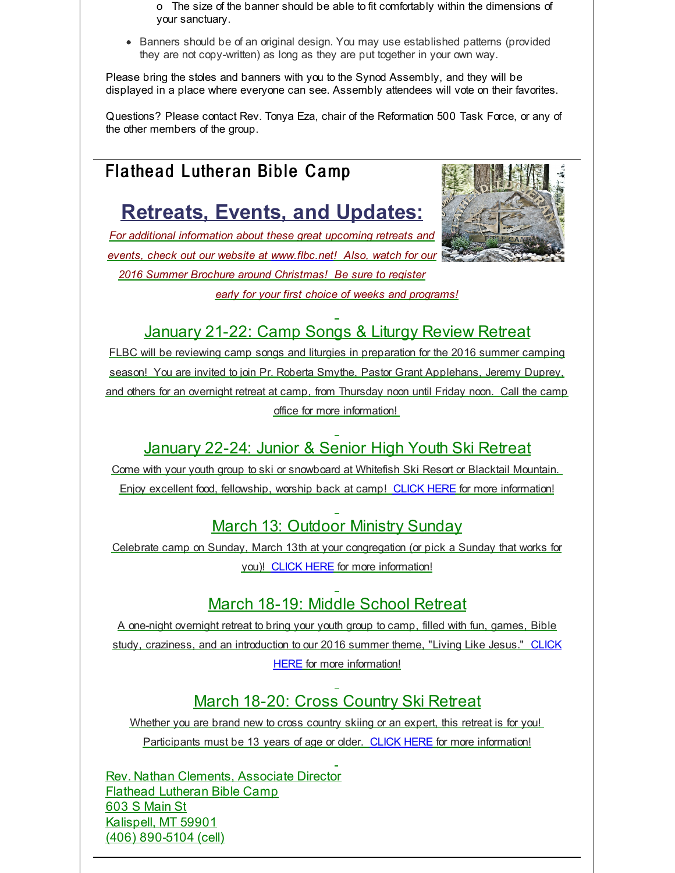o The size of the banner should be able to fit comfortably within the dimensions of your sanctuary.

Banners should be of an original design. You may use established patterns (provided they are not copy-written) as long as they are put together in your own way.

Please bring the stoles and banners with you to the Synod Assembly, and they will be displayed in a place where everyone can see. Assembly attendees will vote on their favorites.

Questions? Please contact Rev. Tonya Eza, chair of the Reformation 500 Task Force, or any of the other members of the group.

# Flathead Lutheran Bible Camp

# **Retreats, Events, and Updates:**

*For additional information about these great upcoming retreats and events, check out our website at [www.flbc.net](http://r20.rs6.net/tn.jsp?f=001hmE2MtRuQ0iUcxoOrkXnldL1aiwHs5aTzRMQWrPDWO3x4zHxV_sI041Xt1OVyC3HPCxVYpdJNTS5alitv11_w3T8s6Fj4M_4wioaNYpU5Ek9gyMO3LSxSRa_UT89TSFTkFzreyV4DbQEYHH-CiNbLKGI7LxRnszSX1r0f2p2GHt6OIySNr77QGFtEOQAu6nH4JIQKPqGGa7gyxSlqbThShbC3SGsCmSAh5MfUdjR2zsBAb-pyXGsNGUTdmyKcg2Q&c=&ch=)! Also, watch for our 2016 Summer Brochure around Christmas! Be sure to register early for your first choice of weeks and programs!*



## January 21-22: Camp Songs & Liturgy Review Retreat

FLBC will be reviewing camp songs and liturgies in preparation for the 2016 summer camping season! You are invited to join Pr. Roberta Smythe, Pastor Grant Applehans, Jeremy Duprey, and others for an overnight retreat at camp, from Thursday noon until Friday noon. Call the camp office for more information!

## January 22-24: Junior & Senior High Youth Ski Retreat

Come with your youth group to ski or snowboard at Whitefish Ski Resort or Blacktail Mountain. Enjoy excellent food, fellowship, worship back at camp! [CLICK](http://r20.rs6.net/tn.jsp?f=001hmE2MtRuQ0iUcxoOrkXnldL1aiwHs5aTzRMQWrPDWO3x4zHxV_sI041Xt1OVyC3HKtbiCYMgoHaDYugebptXAmDD-RDqkCDVPCV-PUtapypkaPYJGRUaJiN1ol9X0kmLjJOTg9zccLv7PoHzoXjJce0Sv1s43uvve71-_mHHefpG7jDI1OqFyORaCPrSwBCdgc6Sjom824PUpneH1aTUX0RoWu1LaHg6mJd4lGZd-zjiZ1oWsMbAanLmS5enoZqG&c=&ch=) HERE for more information!

## March 13: Outdoor Ministry Sunday

Celebrate camp on Sunday, March 13th at your congregation (or pick a Sunday that works for you)! [CLICK](http://r20.rs6.net/tn.jsp?f=001hmE2MtRuQ0iUcxoOrkXnldL1aiwHs5aTzRMQWrPDWO3x4zHxV_sI041Xt1OVyC3HdzVgUhzawBtyuKEzJn_JIDxCfWoEeeWl9Xnf0aqDbbJgCF5yMIp3Mc3OgHCf3hb6HI9tpWSCTz58KRYw7YG9BWgFyaaZNBg7wIaLtwsLDaDWsw_ZBNGzJsEOZQhpKjcbuCvxh4kHYw6U_7kaykltjzVo4Xug1GjQhjp8wPXGY31UbMDPOrX57rM5MqMcSodz&c=&ch=) HERE for more information!

## March 18-19: Middle School Retreat

A one-night overnight retreat to bring your youth group to camp, filled with fun, games, Bible study, craziness, and an introduction to our 2016 summer theme, "Living Like Jesus." CLICK HERE for more [information!](http://r20.rs6.net/tn.jsp?f=001hmE2MtRuQ0iUcxoOrkXnldL1aiwHs5aTzRMQWrPDWO3x4zHxV_sI041Xt1OVyC3HNQmUNFz9shkYEDOVEKuNOzYMUiVNNUsYpg3hAZJySIn1fm1he4Ui33NcIIP4bOr6DFsv-yV1GKxL4pcDGaMIxEFuaa9GtTuaMazkzuAy9ZNFBnlEjvVSzoy6A4uJzsn4RJypGq2AtXiXf09PheQ3OYa8B302tHlY7c1fg8NHCtML0zobXAm9Ic57MtWJx28N&c=&ch=)

# March 18-20: Cross Country Ski Retreat

Whether you are brand new to cross country skiing or an expert, this retreat is for you! Participants must be 13 years of age or older. [CLICK](http://r20.rs6.net/tn.jsp?f=001hmE2MtRuQ0iUcxoOrkXnldL1aiwHs5aTzRMQWrPDWO3x4zHxV_sI041Xt1OVyC3HBsjyGvR0dJosA1ganQFmHoKEDXft2VzjEUV2kshI20CXpkUptwF-N_yLc1MU6f-VoOEvaWhgPgykYQODdNi1ckq_n-6TNbxeao5NLrUfUjSYUuTdCKkNghIb2KbWKEnAd9LufqyOm3_0TPaCcW5NHgtCgStfHT7GF6euF-hlzdLN9TFW43XNWjRxRd8KU0OB&c=&ch=) HERE for more information!

Rev. Nathan Clements, Associate Director Flathead Lutheran Bible Camp 603 S Main St Kalispell, MT 59901 (406) 890-5104 (cell)